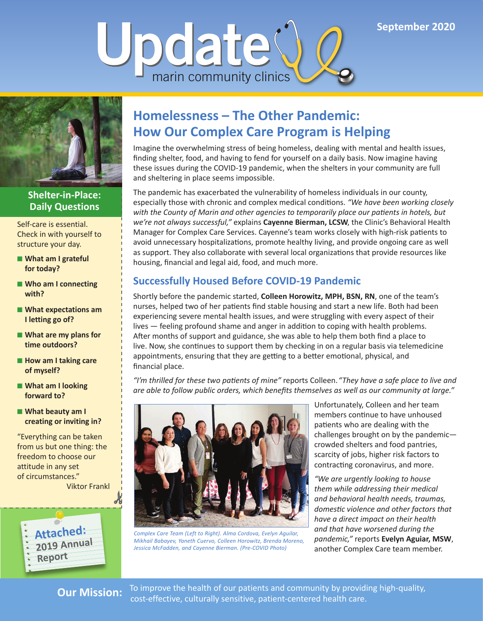



#### **Shelter-in-Place: Daily Questions**

Self-care is essential. Check in with yourself to structure your day.

- What am I grateful **for today?**
- **Who am I connecting with?**
- What expectations am **I letting go of?**
- **What are my plans for time outdoors?**
- **How am I taking care of myself?**
- What am I looking **forward to?**
- **What beauty am I creating or inviting in?**

"Everything can be taken from us but one thing: the freedom to choose our attitude in any set of circumstances." Viktor Frankl



# **Homelessness – The Other Pandemic: How Our Complex Care Program is Helping**

Imagine the overwhelming stress of being homeless, dealing with mental and health issues, finding shelter, food, and having to fend for yourself on a daily basis. Now imagine having these issues during the COVID-19 pandemic, when the shelters in your community are full and sheltering in place seems impossible.

The pandemic has exacerbated the vulnerability of homeless individuals in our county, especially those with chronic and complex medical conditions. *"We have been working closely with the County of Marin and other agencies to temporarily place our patients in hotels, but we're not always successful,"* explains **Cayenne Bierman, LCSW**, the Clinic's Behavioral Health Manager for Complex Care Services. Cayenne's team works closely with high-risk patients to avoid unnecessary hospitalizations, promote healthy living, and provide ongoing care as well as support. They also collaborate with several local organizations that provide resources like housing, financial and legal aid, food, and much more.

# **Successfully Housed Before COVID-19 Pandemic**

Shortly before the pandemic started, **Colleen Horowitz, MPH, BSN, RN**, one of the team's nurses, helped two of her patients find stable housing and start a new life. Both had been experiencing severe mental health issues, and were struggling with every aspect of their lives — feeling profound shame and anger in addition to coping with health problems. After months of support and guidance, she was able to help them both find a place to live. Now, she continues to support them by checking in on a regular basis via telemedicine appointments, ensuring that they are getting to a better emotional, physical, and financial place.

*"I'm thrilled for these two patients of mine"* reports Colleen. *"They have a safe place to live and are able to follow public orders, which benefits themselves as well as our community at large."*



*Complex Care Team (Left to Right). Alma Cordova, Evelyn Aguilar, Mikhail Babayev, Yaneth Cuervo, Colleen Horowitz, Brenda Moreno, Jessica McFadden, and Cayenne Bierman. (Pre-COVID Photo)*

Unfortunately, Colleen and her team members continue to have unhoused patients who are dealing with the challenges brought on by the pandemic crowded shelters and food pantries, scarcity of jobs, higher risk factors to contracting coronavirus, and more.

*"We are urgently looking to house them while addressing their medical and behavioral health needs, traumas, domestic violence and other factors that have a direct impact on their health and that have worsened during the pandemic,"* reports **Evelyn Aguiar, MSW**, another Complex Care team member.

**Our Mission:** To improve the health of our patients and community by providing high-quality, cost-effective, culturally sensitive, patient-centered health care.